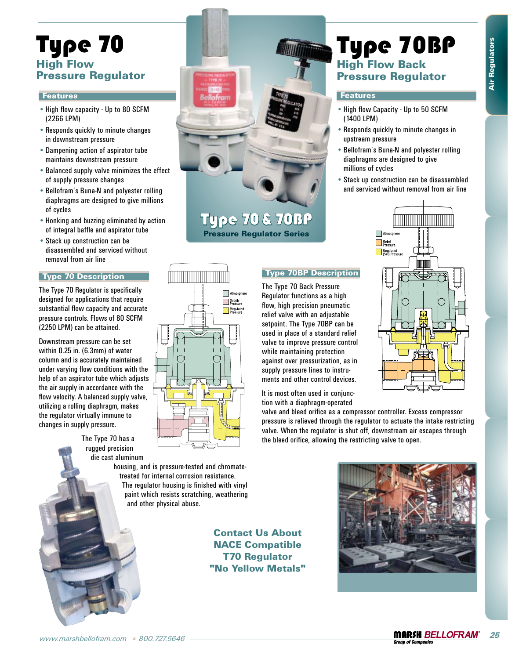Type 70BP

• High flow Capacity - Up to 50 SCFM

• Responds quickly to minute changes in

• Bellofram's Buna-N and polyester rolling diaphragms are designed to give

Stack up construction can be disassembled • and serviced without removal from air line

High Flow Back Pressure Regulator

**Features** 

(1400 LPM)

upstream pressure

millions of cycles

# Type 70 High Flow Pressure Regulator

# **Features**

- High flow capacity Up to 80 SCFM (2266 LPM)
- Responds quickly to minute changes in downstream pressure
- Dampening action of aspirator tube maintains downstream pressure
- Balanced supply valve minimizes the effect of supply pressure changes
- Bellofram's Buna-N and polyester rolling diaphragms are designed to give millions of cycles
- Honking and buzzing eliminated by action of integral baffle and aspirator tube
- Stack up construction can be disassembled and serviced without removal from air line

# Type 70 Description

The Type 70 Regulator is specifically designed for applications that require substantial flow capacity and accurate pressure controls. Flows of 80 SCFM (2250 LPM) can be attained.

Downstream pressure can be set within 0.25 in. (6.3mm) of water column and is accurately maintained under varying flow conditions with the help of an aspirator tube which adjusts the air supply in accordance with the flow velocity. A balanced supply valve, utilizing a rolling diaphragm, makes the regulator virtually immune to changes in supply pressure.

> The Type 70 has a rugged precision die cast aluminum



Type 70 & 70BP Pressure Regulator Series



# Type 70BP Description

The Type 70 Back Pressure Regulator functions as a high flow, high precision pneumatic relief valve with an adjustable setpoint. The Type 70BP can be used in place of a standard relief valve to improve pressure control while maintaining protection against over pressurization, as in supply pressure lines to instruments and other control devices.

It is most often used in conjunction with a diaphragm-operated

valve and bleed orifice as a compressor controller. Excess compressor pressure is relieved through the regulator to actuate the intake restricting valve. When the regulator is shut off, downstream air escapes through

the bleed orifice, allowing the restricting valve to open.

housing, and is pressure-tested and chromatetreated for internal corrosion resistance. The regulator housing is finished with vinyl paint which resists scratching, weathering and other physical abuse.

> Contact Us About NACE Compatible T70 Regulator "No Yellow Metals"

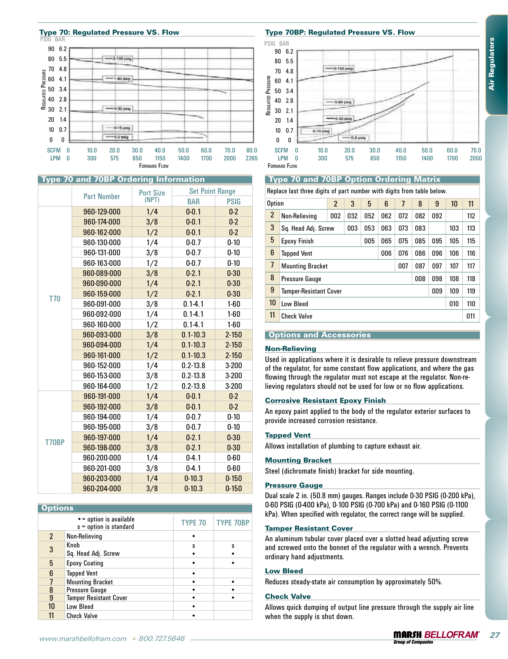

| 90 6.2<br>80 5.5<br>2-100 peg<br>4.8 |                                                                                                                                                                                                                                                                                                                                                                                                                                                            |                                                                                                                                                                                                                                                                                  |                                                                                                                                                                                                                                                                                                                                                                                                               | 80                                                                                                                                                                                                                                                                                                           | 90 6.2<br>5.5                                              |                                                                                                                                                                                                                                                                                                            |                                                                                                                                   |                                                                                                                   |                                                                           |                    |                                                                                                                                    |                                                                                                                                                        |                                                                                                                                                                                                                                                                                                                                                                                                                                                                                                                                                                                                                                                                                                                                                                                                                                                                                             |  |
|--------------------------------------|------------------------------------------------------------------------------------------------------------------------------------------------------------------------------------------------------------------------------------------------------------------------------------------------------------------------------------------------------------------------------------------------------------------------------------------------------------|----------------------------------------------------------------------------------------------------------------------------------------------------------------------------------------------------------------------------------------------------------------------------------|---------------------------------------------------------------------------------------------------------------------------------------------------------------------------------------------------------------------------------------------------------------------------------------------------------------------------------------------------------------------------------------------------------------|--------------------------------------------------------------------------------------------------------------------------------------------------------------------------------------------------------------------------------------------------------------------------------------------------------------|------------------------------------------------------------|------------------------------------------------------------------------------------------------------------------------------------------------------------------------------------------------------------------------------------------------------------------------------------------------------------|-----------------------------------------------------------------------------------------------------------------------------------|-------------------------------------------------------------------------------------------------------------------|---------------------------------------------------------------------------|--------------------|------------------------------------------------------------------------------------------------------------------------------------|--------------------------------------------------------------------------------------------------------------------------------------------------------|---------------------------------------------------------------------------------------------------------------------------------------------------------------------------------------------------------------------------------------------------------------------------------------------------------------------------------------------------------------------------------------------------------------------------------------------------------------------------------------------------------------------------------------------------------------------------------------------------------------------------------------------------------------------------------------------------------------------------------------------------------------------------------------------------------------------------------------------------------------------------------------------|--|
|                                      |                                                                                                                                                                                                                                                                                                                                                                                                                                                            |                                                                                                                                                                                                                                                                                  |                                                                                                                                                                                                                                                                                                                                                                                                               |                                                                                                                                                                                                                                                                                                              |                                                            |                                                                                                                                                                                                                                                                                                            |                                                                                                                                   |                                                                                                                   |                                                                           |                    |                                                                                                                                    |                                                                                                                                                        |                                                                                                                                                                                                                                                                                                                                                                                                                                                                                                                                                                                                                                                                                                                                                                                                                                                                                             |  |
|                                      |                                                                                                                                                                                                                                                                                                                                                                                                                                                            |                                                                                                                                                                                                                                                                                  |                                                                                                                                                                                                                                                                                                                                                                                                               | 70                                                                                                                                                                                                                                                                                                           | 4.8                                                        | 0-150 psg                                                                                                                                                                                                                                                                                                  |                                                                                                                                   |                                                                                                                   |                                                                           |                    |                                                                                                                                    |                                                                                                                                                        |                                                                                                                                                                                                                                                                                                                                                                                                                                                                                                                                                                                                                                                                                                                                                                                                                                                                                             |  |
| 4.1<br>1-50 000                      |                                                                                                                                                                                                                                                                                                                                                                                                                                                            |                                                                                                                                                                                                                                                                                  |                                                                                                                                                                                                                                                                                                                                                                                                               |                                                                                                                                                                                                                                                                                                              | 4.1                                                        |                                                                                                                                                                                                                                                                                                            |                                                                                                                                   |                                                                                                                   |                                                                           |                    |                                                                                                                                    |                                                                                                                                                        |                                                                                                                                                                                                                                                                                                                                                                                                                                                                                                                                                                                                                                                                                                                                                                                                                                                                                             |  |
|                                      |                                                                                                                                                                                                                                                                                                                                                                                                                                                            |                                                                                                                                                                                                                                                                                  |                                                                                                                                                                                                                                                                                                                                                                                                               |                                                                                                                                                                                                                                                                                                              |                                                            |                                                                                                                                                                                                                                                                                                            |                                                                                                                                   |                                                                                                                   |                                                                           |                    |                                                                                                                                    |                                                                                                                                                        |                                                                                                                                                                                                                                                                                                                                                                                                                                                                                                                                                                                                                                                                                                                                                                                                                                                                                             |  |
|                                      |                                                                                                                                                                                                                                                                                                                                                                                                                                                            |                                                                                                                                                                                                                                                                                  |                                                                                                                                                                                                                                                                                                                                                                                                               |                                                                                                                                                                                                                                                                                                              |                                                            |                                                                                                                                                                                                                                                                                                            |                                                                                                                                   |                                                                                                                   |                                                                           |                    |                                                                                                                                    |                                                                                                                                                        |                                                                                                                                                                                                                                                                                                                                                                                                                                                                                                                                                                                                                                                                                                                                                                                                                                                                                             |  |
|                                      |                                                                                                                                                                                                                                                                                                                                                                                                                                                            |                                                                                                                                                                                                                                                                                  |                                                                                                                                                                                                                                                                                                                                                                                                               |                                                                                                                                                                                                                                                                                                              |                                                            |                                                                                                                                                                                                                                                                                                            |                                                                                                                                   |                                                                                                                   |                                                                           |                    |                                                                                                                                    |                                                                                                                                                        |                                                                                                                                                                                                                                                                                                                                                                                                                                                                                                                                                                                                                                                                                                                                                                                                                                                                                             |  |
| 1.4                                  |                                                                                                                                                                                                                                                                                                                                                                                                                                                            |                                                                                                                                                                                                                                                                                  |                                                                                                                                                                                                                                                                                                                                                                                                               |                                                                                                                                                                                                                                                                                                              |                                                            |                                                                                                                                                                                                                                                                                                            |                                                                                                                                   |                                                                                                                   |                                                                           |                    |                                                                                                                                    |                                                                                                                                                        |                                                                                                                                                                                                                                                                                                                                                                                                                                                                                                                                                                                                                                                                                                                                                                                                                                                                                             |  |
|                                      |                                                                                                                                                                                                                                                                                                                                                                                                                                                            |                                                                                                                                                                                                                                                                                  |                                                                                                                                                                                                                                                                                                                                                                                                               |                                                                                                                                                                                                                                                                                                              |                                                            |                                                                                                                                                                                                                                                                                                            |                                                                                                                                   |                                                                                                                   |                                                                           |                    |                                                                                                                                    |                                                                                                                                                        |                                                                                                                                                                                                                                                                                                                                                                                                                                                                                                                                                                                                                                                                                                                                                                                                                                                                                             |  |
|                                      |                                                                                                                                                                                                                                                                                                                                                                                                                                                            |                                                                                                                                                                                                                                                                                  |                                                                                                                                                                                                                                                                                                                                                                                                               |                                                                                                                                                                                                                                                                                                              |                                                            |                                                                                                                                                                                                                                                                                                            | $-0.2$ psig                                                                                                                       |                                                                                                                   |                                                                           |                    |                                                                                                                                    |                                                                                                                                                        |                                                                                                                                                                                                                                                                                                                                                                                                                                                                                                                                                                                                                                                                                                                                                                                                                                                                                             |  |
|                                      |                                                                                                                                                                                                                                                                                                                                                                                                                                                            |                                                                                                                                                                                                                                                                                  |                                                                                                                                                                                                                                                                                                                                                                                                               |                                                                                                                                                                                                                                                                                                              |                                                            |                                                                                                                                                                                                                                                                                                            |                                                                                                                                   |                                                                                                                   |                                                                           |                    |                                                                                                                                    |                                                                                                                                                        | 70.0                                                                                                                                                                                                                                                                                                                                                                                                                                                                                                                                                                                                                                                                                                                                                                                                                                                                                        |  |
| $\bf{0}$<br>300<br>575               | 1150<br>850<br>FORWARD FLOW                                                                                                                                                                                                                                                                                                                                                                                                                                | 1700<br>1400                                                                                                                                                                                                                                                                     | 2000                                                                                                                                                                                                                                                                                                                                                                                                          |                                                                                                                                                                                                                                                                                                              | $\bf{0}$<br>300                                            |                                                                                                                                                                                                                                                                                                            | 575                                                                                                                               |                                                                                                                   | 1150                                                                      |                    |                                                                                                                                    | 1700                                                                                                                                                   | 2000                                                                                                                                                                                                                                                                                                                                                                                                                                                                                                                                                                                                                                                                                                                                                                                                                                                                                        |  |
|                                      |                                                                                                                                                                                                                                                                                                                                                                                                                                                            |                                                                                                                                                                                                                                                                                  |                                                                                                                                                                                                                                                                                                                                                                                                               |                                                                                                                                                                                                                                                                                                              |                                                            |                                                                                                                                                                                                                                                                                                            |                                                                                                                                   |                                                                                                                   |                                                                           |                    |                                                                                                                                    |                                                                                                                                                        |                                                                                                                                                                                                                                                                                                                                                                                                                                                                                                                                                                                                                                                                                                                                                                                                                                                                                             |  |
| <b>Part Number</b>                   | <b>Port Size</b>                                                                                                                                                                                                                                                                                                                                                                                                                                           |                                                                                                                                                                                                                                                                                  |                                                                                                                                                                                                                                                                                                                                                                                                               |                                                                                                                                                                                                                                                                                                              |                                                            |                                                                                                                                                                                                                                                                                                            |                                                                                                                                   |                                                                                                                   |                                                                           |                    |                                                                                                                                    |                                                                                                                                                        |                                                                                                                                                                                                                                                                                                                                                                                                                                                                                                                                                                                                                                                                                                                                                                                                                                                                                             |  |
|                                      |                                                                                                                                                                                                                                                                                                                                                                                                                                                            |                                                                                                                                                                                                                                                                                  |                                                                                                                                                                                                                                                                                                                                                                                                               |                                                                                                                                                                                                                                                                                                              |                                                            |                                                                                                                                                                                                                                                                                                            |                                                                                                                                   |                                                                                                                   | $\overline{1}$                                                            |                    |                                                                                                                                    |                                                                                                                                                        | 11                                                                                                                                                                                                                                                                                                                                                                                                                                                                                                                                                                                                                                                                                                                                                                                                                                                                                          |  |
|                                      |                                                                                                                                                                                                                                                                                                                                                                                                                                                            |                                                                                                                                                                                                                                                                                  |                                                                                                                                                                                                                                                                                                                                                                                                               | 2                                                                                                                                                                                                                                                                                                            | Non-Relieving                                              | 002                                                                                                                                                                                                                                                                                                        | 032<br>052                                                                                                                        | 062                                                                                                               | 072                                                                       | 082                | 092                                                                                                                                |                                                                                                                                                        | 112                                                                                                                                                                                                                                                                                                                                                                                                                                                                                                                                                                                                                                                                                                                                                                                                                                                                                         |  |
|                                      |                                                                                                                                                                                                                                                                                                                                                                                                                                                            |                                                                                                                                                                                                                                                                                  |                                                                                                                                                                                                                                                                                                                                                                                                               | 3                                                                                                                                                                                                                                                                                                            |                                                            |                                                                                                                                                                                                                                                                                                            | 053<br>003                                                                                                                        | 063                                                                                                               | 073                                                                       | 083                |                                                                                                                                    | 103                                                                                                                                                    | 113                                                                                                                                                                                                                                                                                                                                                                                                                                                                                                                                                                                                                                                                                                                                                                                                                                                                                         |  |
|                                      |                                                                                                                                                                                                                                                                                                                                                                                                                                                            |                                                                                                                                                                                                                                                                                  |                                                                                                                                                                                                                                                                                                                                                                                                               |                                                                                                                                                                                                                                                                                                              |                                                            |                                                                                                                                                                                                                                                                                                            |                                                                                                                                   |                                                                                                                   |                                                                           |                    |                                                                                                                                    |                                                                                                                                                        | 115                                                                                                                                                                                                                                                                                                                                                                                                                                                                                                                                                                                                                                                                                                                                                                                                                                                                                         |  |
|                                      |                                                                                                                                                                                                                                                                                                                                                                                                                                                            |                                                                                                                                                                                                                                                                                  |                                                                                                                                                                                                                                                                                                                                                                                                               |                                                                                                                                                                                                                                                                                                              |                                                            |                                                                                                                                                                                                                                                                                                            |                                                                                                                                   |                                                                                                                   |                                                                           |                    |                                                                                                                                    |                                                                                                                                                        |                                                                                                                                                                                                                                                                                                                                                                                                                                                                                                                                                                                                                                                                                                                                                                                                                                                                                             |  |
|                                      |                                                                                                                                                                                                                                                                                                                                                                                                                                                            |                                                                                                                                                                                                                                                                                  |                                                                                                                                                                                                                                                                                                                                                                                                               |                                                                                                                                                                                                                                                                                                              |                                                            |                                                                                                                                                                                                                                                                                                            |                                                                                                                                   |                                                                                                                   |                                                                           |                    |                                                                                                                                    |                                                                                                                                                        | 116                                                                                                                                                                                                                                                                                                                                                                                                                                                                                                                                                                                                                                                                                                                                                                                                                                                                                         |  |
|                                      |                                                                                                                                                                                                                                                                                                                                                                                                                                                            |                                                                                                                                                                                                                                                                                  |                                                                                                                                                                                                                                                                                                                                                                                                               | 7                                                                                                                                                                                                                                                                                                            | <b>Mounting Bracket</b><br>007<br>087<br>097<br>107<br>117 |                                                                                                                                                                                                                                                                                                            |                                                                                                                                   |                                                                                                                   |                                                                           |                    |                                                                                                                                    |                                                                                                                                                        |                                                                                                                                                                                                                                                                                                                                                                                                                                                                                                                                                                                                                                                                                                                                                                                                                                                                                             |  |
|                                      |                                                                                                                                                                                                                                                                                                                                                                                                                                                            |                                                                                                                                                                                                                                                                                  |                                                                                                                                                                                                                                                                                                                                                                                                               | 8                                                                                                                                                                                                                                                                                                            | Pressure Gauge                                             |                                                                                                                                                                                                                                                                                                            |                                                                                                                                   |                                                                                                                   |                                                                           | 008                | 098                                                                                                                                | 108                                                                                                                                                    | 118                                                                                                                                                                                                                                                                                                                                                                                                                                                                                                                                                                                                                                                                                                                                                                                                                                                                                         |  |
|                                      |                                                                                                                                                                                                                                                                                                                                                                                                                                                            |                                                                                                                                                                                                                                                                                  |                                                                                                                                                                                                                                                                                                                                                                                                               |                                                                                                                                                                                                                                                                                                              |                                                            |                                                                                                                                                                                                                                                                                                            |                                                                                                                                   |                                                                                                                   |                                                                           |                    |                                                                                                                                    |                                                                                                                                                        | 119                                                                                                                                                                                                                                                                                                                                                                                                                                                                                                                                                                                                                                                                                                                                                                                                                                                                                         |  |
|                                      |                                                                                                                                                                                                                                                                                                                                                                                                                                                            |                                                                                                                                                                                                                                                                                  |                                                                                                                                                                                                                                                                                                                                                                                                               |                                                                                                                                                                                                                                                                                                              |                                                            |                                                                                                                                                                                                                                                                                                            |                                                                                                                                   |                                                                                                                   |                                                                           |                    |                                                                                                                                    |                                                                                                                                                        |                                                                                                                                                                                                                                                                                                                                                                                                                                                                                                                                                                                                                                                                                                                                                                                                                                                                                             |  |
|                                      |                                                                                                                                                                                                                                                                                                                                                                                                                                                            |                                                                                                                                                                                                                                                                                  |                                                                                                                                                                                                                                                                                                                                                                                                               |                                                                                                                                                                                                                                                                                                              |                                                            |                                                                                                                                                                                                                                                                                                            |                                                                                                                                   |                                                                                                                   |                                                                           |                    |                                                                                                                                    |                                                                                                                                                        | 110                                                                                                                                                                                                                                                                                                                                                                                                                                                                                                                                                                                                                                                                                                                                                                                                                                                                                         |  |
|                                      |                                                                                                                                                                                                                                                                                                                                                                                                                                                            |                                                                                                                                                                                                                                                                                  |                                                                                                                                                                                                                                                                                                                                                                                                               | 11                                                                                                                                                                                                                                                                                                           | <b>Check Valve</b>                                         |                                                                                                                                                                                                                                                                                                            |                                                                                                                                   |                                                                                                                   |                                                                           |                    |                                                                                                                                    |                                                                                                                                                        | 011                                                                                                                                                                                                                                                                                                                                                                                                                                                                                                                                                                                                                                                                                                                                                                                                                                                                                         |  |
|                                      |                                                                                                                                                                                                                                                                                                                                                                                                                                                            |                                                                                                                                                                                                                                                                                  |                                                                                                                                                                                                                                                                                                                                                                                                               |                                                                                                                                                                                                                                                                                                              |                                                            |                                                                                                                                                                                                                                                                                                            |                                                                                                                                   |                                                                                                                   |                                                                           |                    |                                                                                                                                    |                                                                                                                                                        |                                                                                                                                                                                                                                                                                                                                                                                                                                                                                                                                                                                                                                                                                                                                                                                                                                                                                             |  |
|                                      |                                                                                                                                                                                                                                                                                                                                                                                                                                                            |                                                                                                                                                                                                                                                                                  |                                                                                                                                                                                                                                                                                                                                                                                                               | <b>Options and Accessories</b>                                                                                                                                                                                                                                                                               |                                                            |                                                                                                                                                                                                                                                                                                            |                                                                                                                                   |                                                                                                                   |                                                                           |                    |                                                                                                                                    |                                                                                                                                                        |                                                                                                                                                                                                                                                                                                                                                                                                                                                                                                                                                                                                                                                                                                                                                                                                                                                                                             |  |
|                                      |                                                                                                                                                                                                                                                                                                                                                                                                                                                            |                                                                                                                                                                                                                                                                                  |                                                                                                                                                                                                                                                                                                                                                                                                               | <b>Non-Relieving</b>                                                                                                                                                                                                                                                                                         |                                                            |                                                                                                                                                                                                                                                                                                            |                                                                                                                                   |                                                                                                                   |                                                                           |                    |                                                                                                                                    |                                                                                                                                                        |                                                                                                                                                                                                                                                                                                                                                                                                                                                                                                                                                                                                                                                                                                                                                                                                                                                                                             |  |
|                                      |                                                                                                                                                                                                                                                                                                                                                                                                                                                            |                                                                                                                                                                                                                                                                                  |                                                                                                                                                                                                                                                                                                                                                                                                               |                                                                                                                                                                                                                                                                                                              |                                                            |                                                                                                                                                                                                                                                                                                            |                                                                                                                                   |                                                                                                                   |                                                                           |                    |                                                                                                                                    |                                                                                                                                                        |                                                                                                                                                                                                                                                                                                                                                                                                                                                                                                                                                                                                                                                                                                                                                                                                                                                                                             |  |
|                                      |                                                                                                                                                                                                                                                                                                                                                                                                                                                            |                                                                                                                                                                                                                                                                                  |                                                                                                                                                                                                                                                                                                                                                                                                               |                                                                                                                                                                                                                                                                                                              |                                                            |                                                                                                                                                                                                                                                                                                            |                                                                                                                                   |                                                                                                                   |                                                                           |                    |                                                                                                                                    |                                                                                                                                                        |                                                                                                                                                                                                                                                                                                                                                                                                                                                                                                                                                                                                                                                                                                                                                                                                                                                                                             |  |
|                                      |                                                                                                                                                                                                                                                                                                                                                                                                                                                            |                                                                                                                                                                                                                                                                                  |                                                                                                                                                                                                                                                                                                                                                                                                               | flowing through the regulator must not escape at the regulator. Non-re-                                                                                                                                                                                                                                      |                                                            |                                                                                                                                                                                                                                                                                                            |                                                                                                                                   |                                                                                                                   |                                                                           |                    |                                                                                                                                    |                                                                                                                                                        |                                                                                                                                                                                                                                                                                                                                                                                                                                                                                                                                                                                                                                                                                                                                                                                                                                                                                             |  |
|                                      |                                                                                                                                                                                                                                                                                                                                                                                                                                                            |                                                                                                                                                                                                                                                                                  |                                                                                                                                                                                                                                                                                                                                                                                                               |                                                                                                                                                                                                                                                                                                              |                                                            |                                                                                                                                                                                                                                                                                                            |                                                                                                                                   |                                                                                                                   |                                                                           |                    |                                                                                                                                    |                                                                                                                                                        |                                                                                                                                                                                                                                                                                                                                                                                                                                                                                                                                                                                                                                                                                                                                                                                                                                                                                             |  |
|                                      |                                                                                                                                                                                                                                                                                                                                                                                                                                                            |                                                                                                                                                                                                                                                                                  |                                                                                                                                                                                                                                                                                                                                                                                                               |                                                                                                                                                                                                                                                                                                              |                                                            |                                                                                                                                                                                                                                                                                                            |                                                                                                                                   |                                                                                                                   |                                                                           |                    |                                                                                                                                    |                                                                                                                                                        |                                                                                                                                                                                                                                                                                                                                                                                                                                                                                                                                                                                                                                                                                                                                                                                                                                                                                             |  |
|                                      |                                                                                                                                                                                                                                                                                                                                                                                                                                                            |                                                                                                                                                                                                                                                                                  |                                                                                                                                                                                                                                                                                                                                                                                                               |                                                                                                                                                                                                                                                                                                              |                                                            |                                                                                                                                                                                                                                                                                                            |                                                                                                                                   |                                                                                                                   |                                                                           |                    |                                                                                                                                    |                                                                                                                                                        |                                                                                                                                                                                                                                                                                                                                                                                                                                                                                                                                                                                                                                                                                                                                                                                                                                                                                             |  |
|                                      |                                                                                                                                                                                                                                                                                                                                                                                                                                                            |                                                                                                                                                                                                                                                                                  |                                                                                                                                                                                                                                                                                                                                                                                                               | provide increased corrosion resistance.<br><b>Tapped Vent</b>                                                                                                                                                                                                                                                |                                                            |                                                                                                                                                                                                                                                                                                            |                                                                                                                                   |                                                                                                                   |                                                                           |                    |                                                                                                                                    |                                                                                                                                                        |                                                                                                                                                                                                                                                                                                                                                                                                                                                                                                                                                                                                                                                                                                                                                                                                                                                                                             |  |
| 960-195-000                          | 3/8                                                                                                                                                                                                                                                                                                                                                                                                                                                        | $0 - 0.7$                                                                                                                                                                                                                                                                        | $0-10$                                                                                                                                                                                                                                                                                                                                                                                                        |                                                                                                                                                                                                                                                                                                              |                                                            |                                                                                                                                                                                                                                                                                                            |                                                                                                                                   |                                                                                                                   |                                                                           |                    |                                                                                                                                    |                                                                                                                                                        |                                                                                                                                                                                                                                                                                                                                                                                                                                                                                                                                                                                                                                                                                                                                                                                                                                                                                             |  |
| 960-197-000                          | 1/4                                                                                                                                                                                                                                                                                                                                                                                                                                                        | $0 - 2.1$                                                                                                                                                                                                                                                                        | $0 - 30$                                                                                                                                                                                                                                                                                                                                                                                                      |                                                                                                                                                                                                                                                                                                              |                                                            |                                                                                                                                                                                                                                                                                                            |                                                                                                                                   |                                                                                                                   |                                                                           |                    |                                                                                                                                    |                                                                                                                                                        |                                                                                                                                                                                                                                                                                                                                                                                                                                                                                                                                                                                                                                                                                                                                                                                                                                                                                             |  |
| 960-198-000                          | 3/8                                                                                                                                                                                                                                                                                                                                                                                                                                                        | $0 - 2.1$                                                                                                                                                                                                                                                                        | $0 - 30$                                                                                                                                                                                                                                                                                                                                                                                                      |                                                                                                                                                                                                                                                                                                              |                                                            |                                                                                                                                                                                                                                                                                                            |                                                                                                                                   |                                                                                                                   |                                                                           |                    |                                                                                                                                    |                                                                                                                                                        |                                                                                                                                                                                                                                                                                                                                                                                                                                                                                                                                                                                                                                                                                                                                                                                                                                                                                             |  |
| 960-200-000                          | 1/4                                                                                                                                                                                                                                                                                                                                                                                                                                                        | $0 - 4.1$                                                                                                                                                                                                                                                                        | $0 - 60$                                                                                                                                                                                                                                                                                                                                                                                                      |                                                                                                                                                                                                                                                                                                              |                                                            |                                                                                                                                                                                                                                                                                                            |                                                                                                                                   |                                                                                                                   |                                                                           |                    |                                                                                                                                    |                                                                                                                                                        |                                                                                                                                                                                                                                                                                                                                                                                                                                                                                                                                                                                                                                                                                                                                                                                                                                                                                             |  |
| 960-201-000                          | 3/8                                                                                                                                                                                                                                                                                                                                                                                                                                                        | $0 - 4.1$                                                                                                                                                                                                                                                                        | $0-60$                                                                                                                                                                                                                                                                                                                                                                                                        |                                                                                                                                                                                                                                                                                                              |                                                            |                                                                                                                                                                                                                                                                                                            |                                                                                                                                   |                                                                                                                   |                                                                           |                    |                                                                                                                                    |                                                                                                                                                        |                                                                                                                                                                                                                                                                                                                                                                                                                                                                                                                                                                                                                                                                                                                                                                                                                                                                                             |  |
| 960-203-000                          | 1/4                                                                                                                                                                                                                                                                                                                                                                                                                                                        | $0-10.3$                                                                                                                                                                                                                                                                         | $0 - 150$                                                                                                                                                                                                                                                                                                                                                                                                     |                                                                                                                                                                                                                                                                                                              |                                                            |                                                                                                                                                                                                                                                                                                            |                                                                                                                                   |                                                                                                                   |                                                                           |                    |                                                                                                                                    |                                                                                                                                                        |                                                                                                                                                                                                                                                                                                                                                                                                                                                                                                                                                                                                                                                                                                                                                                                                                                                                                             |  |
| 960-204-000                          | 3/8                                                                                                                                                                                                                                                                                                                                                                                                                                                        | $0-10.3$                                                                                                                                                                                                                                                                         | $0 - 150$                                                                                                                                                                                                                                                                                                                                                                                                     |                                                                                                                                                                                                                                                                                                              |                                                            |                                                                                                                                                                                                                                                                                                            |                                                                                                                                   |                                                                                                                   |                                                                           |                    |                                                                                                                                    |                                                                                                                                                        |                                                                                                                                                                                                                                                                                                                                                                                                                                                                                                                                                                                                                                                                                                                                                                                                                                                                                             |  |
|                                      |                                                                                                                                                                                                                                                                                                                                                                                                                                                            |                                                                                                                                                                                                                                                                                  |                                                                                                                                                                                                                                                                                                                                                                                                               |                                                                                                                                                                                                                                                                                                              |                                                            |                                                                                                                                                                                                                                                                                                            |                                                                                                                                   |                                                                                                                   |                                                                           |                    |                                                                                                                                    |                                                                                                                                                        |                                                                                                                                                                                                                                                                                                                                                                                                                                                                                                                                                                                                                                                                                                                                                                                                                                                                                             |  |
| <b>Options</b>                       |                                                                                                                                                                                                                                                                                                                                                                                                                                                            |                                                                                                                                                                                                                                                                                  |                                                                                                                                                                                                                                                                                                                                                                                                               |                                                                                                                                                                                                                                                                                                              |                                                            |                                                                                                                                                                                                                                                                                                            |                                                                                                                                   |                                                                                                                   |                                                                           |                    |                                                                                                                                    |                                                                                                                                                        |                                                                                                                                                                                                                                                                                                                                                                                                                                                                                                                                                                                                                                                                                                                                                                                                                                                                                             |  |
|                                      |                                                                                                                                                                                                                                                                                                                                                                                                                                                            | <b>TYPE 70</b>                                                                                                                                                                                                                                                                   | <b>TYPE 70BP</b>                                                                                                                                                                                                                                                                                                                                                                                              |                                                                                                                                                                                                                                                                                                              |                                                            |                                                                                                                                                                                                                                                                                                            |                                                                                                                                   |                                                                                                                   |                                                                           |                    |                                                                                                                                    |                                                                                                                                                        |                                                                                                                                                                                                                                                                                                                                                                                                                                                                                                                                                                                                                                                                                                                                                                                                                                                                                             |  |
| Non-Relieving                        |                                                                                                                                                                                                                                                                                                                                                                                                                                                            | $\bullet$                                                                                                                                                                                                                                                                        |                                                                                                                                                                                                                                                                                                                                                                                                               |                                                                                                                                                                                                                                                                                                              |                                                            |                                                                                                                                                                                                                                                                                                            |                                                                                                                                   |                                                                                                                   |                                                                           |                    |                                                                                                                                    |                                                                                                                                                        |                                                                                                                                                                                                                                                                                                                                                                                                                                                                                                                                                                                                                                                                                                                                                                                                                                                                                             |  |
| Knob                                 |                                                                                                                                                                                                                                                                                                                                                                                                                                                            | s                                                                                                                                                                                                                                                                                | s                                                                                                                                                                                                                                                                                                                                                                                                             |                                                                                                                                                                                                                                                                                                              |                                                            |                                                                                                                                                                                                                                                                                                            |                                                                                                                                   |                                                                                                                   |                                                                           |                    |                                                                                                                                    |                                                                                                                                                        |                                                                                                                                                                                                                                                                                                                                                                                                                                                                                                                                                                                                                                                                                                                                                                                                                                                                                             |  |
| Sq. Head Adj. Screw                  |                                                                                                                                                                                                                                                                                                                                                                                                                                                            | $\bullet$                                                                                                                                                                                                                                                                        | $\bullet$                                                                                                                                                                                                                                                                                                                                                                                                     |                                                                                                                                                                                                                                                                                                              |                                                            |                                                                                                                                                                                                                                                                                                            |                                                                                                                                   |                                                                                                                   |                                                                           |                    |                                                                                                                                    |                                                                                                                                                        |                                                                                                                                                                                                                                                                                                                                                                                                                                                                                                                                                                                                                                                                                                                                                                                                                                                                                             |  |
| <b>Epoxy Coating</b>                 |                                                                                                                                                                                                                                                                                                                                                                                                                                                            | $\bullet$                                                                                                                                                                                                                                                                        | $\bullet$                                                                                                                                                                                                                                                                                                                                                                                                     |                                                                                                                                                                                                                                                                                                              |                                                            |                                                                                                                                                                                                                                                                                                            |                                                                                                                                   |                                                                                                                   |                                                                           |                    |                                                                                                                                    |                                                                                                                                                        |                                                                                                                                                                                                                                                                                                                                                                                                                                                                                                                                                                                                                                                                                                                                                                                                                                                                                             |  |
|                                      |                                                                                                                                                                                                                                                                                                                                                                                                                                                            | $\bullet$                                                                                                                                                                                                                                                                        |                                                                                                                                                                                                                                                                                                                                                                                                               |                                                                                                                                                                                                                                                                                                              |                                                            |                                                                                                                                                                                                                                                                                                            |                                                                                                                                   |                                                                                                                   |                                                                           |                    |                                                                                                                                    |                                                                                                                                                        |                                                                                                                                                                                                                                                                                                                                                                                                                                                                                                                                                                                                                                                                                                                                                                                                                                                                                             |  |
|                                      |                                                                                                                                                                                                                                                                                                                                                                                                                                                            |                                                                                                                                                                                                                                                                                  |                                                                                                                                                                                                                                                                                                                                                                                                               |                                                                                                                                                                                                                                                                                                              |                                                            |                                                                                                                                                                                                                                                                                                            |                                                                                                                                   |                                                                                                                   |                                                                           |                    |                                                                                                                                    |                                                                                                                                                        |                                                                                                                                                                                                                                                                                                                                                                                                                                                                                                                                                                                                                                                                                                                                                                                                                                                                                             |  |
|                                      |                                                                                                                                                                                                                                                                                                                                                                                                                                                            | $\bullet$                                                                                                                                                                                                                                                                        | $\bullet$                                                                                                                                                                                                                                                                                                                                                                                                     |                                                                                                                                                                                                                                                                                                              |                                                            |                                                                                                                                                                                                                                                                                                            |                                                                                                                                   |                                                                                                                   |                                                                           |                    |                                                                                                                                    |                                                                                                                                                        |                                                                                                                                                                                                                                                                                                                                                                                                                                                                                                                                                                                                                                                                                                                                                                                                                                                                                             |  |
| <b>Low Bleed</b>                     |                                                                                                                                                                                                                                                                                                                                                                                                                                                            | $\bullet$                                                                                                                                                                                                                                                                        |                                                                                                                                                                                                                                                                                                                                                                                                               |                                                                                                                                                                                                                                                                                                              |                                                            |                                                                                                                                                                                                                                                                                                            |                                                                                                                                   |                                                                                                                   |                                                                           |                    |                                                                                                                                    |                                                                                                                                                        |                                                                                                                                                                                                                                                                                                                                                                                                                                                                                                                                                                                                                                                                                                                                                                                                                                                                                             |  |
|                                      |                                                                                                                                                                                                                                                                                                                                                                                                                                                            | $\bullet$                                                                                                                                                                                                                                                                        |                                                                                                                                                                                                                                                                                                                                                                                                               |                                                                                                                                                                                                                                                                                                              | when the supply is shut down.                              |                                                                                                                                                                                                                                                                                                            |                                                                                                                                   |                                                                                                                   |                                                                           |                    |                                                                                                                                    |                                                                                                                                                        |                                                                                                                                                                                                                                                                                                                                                                                                                                                                                                                                                                                                                                                                                                                                                                                                                                                                                             |  |
| 50 3.4<br>2.1<br>0.7                 | 40 2.8<br>0<br>10.0<br>20.0<br>960-129-000<br>960-174-000<br>960-162-000<br>960-130-000<br>960-131-000<br>960-163-000<br>960-089-000<br>960-090-000<br>960-159-000<br>960-091-000<br>960-092-000<br>960-160-000<br>960-093-000<br>960-094-000<br>960-161-000<br>960-152-000<br>960-153-000<br>960-164-000<br>960-191-000<br>960-192-000<br>960-194-000<br><b>Tapped Vent</b><br><b>Mounting Bracket</b><br>Pressure Gauge<br><b>Tamper Resistant Cover</b> | MH2 0E-0-444<br>0-10 peg<br>$-0.2001$<br>30.0<br>40.0<br>(NPT)<br>1/4<br>3/8<br>1/2<br>1/4<br>3/8<br>1/2<br>3/8<br>1/4<br>1/2<br>3/8<br>1/4<br>1/2<br>3/8<br>1/4<br>1/2<br>1/4<br>3/8<br>1/2<br>1/4<br>3/8<br>1/4<br>$\bullet$ = option is available<br>$s =$ option is standard | 60.0<br>50.0<br><b>Type 70 and 70BP Ordering Information</b><br><b>BAR</b><br>$0 - 0.1$<br>$0 - 0.1$<br>$0 - 0.1$<br>$0 - 0.7$<br>$0 - 0.7$<br>$0 - 0.7$<br>$0 - 2.1$<br>$0 - 2.1$<br>$0 - 2.1$<br>$0.1 - 4.1$<br>$0.1 - 4.1$<br>$0.1 - 4.1$<br>$0.1 - 10.3$<br>$0.1 - 10.3$<br>$0.1 - 10.3$<br>$0.2 - 13.8$<br>$0.2 - 13.8$<br>$0.2 - 13.8$<br>$0 - 0.1$<br>$0 - 0.1$<br>$0 - 0.7$<br>$\bullet$<br>$\bullet$ | 70.0<br><b>Set Point Range</b><br><b>PSIG</b><br>$0-2$<br>$0-2$<br>$0-2$<br>$0 - 10$<br>$0 - 10$<br>$0 - 10$<br>$0 - 30$<br>$0 - 30$<br>$0 - 30$<br>$1-60$<br>$1-60$<br>$1-60$<br>$2 - 150$<br>$2 - 150$<br>$2 - 150$<br>$3 - 200$<br>3-200<br>3-200<br>$0-2$<br>$0-2$<br>$0 - 10$<br>$\bullet$<br>$\bullet$ | REGULATED PRESSURE<br>80.0<br>2265<br>5<br>6<br>9<br>10    | 60<br>50<br>3.4<br>40<br>2.8<br>$30\,$<br>2.1<br>20<br>1.4<br>0.7<br>10<br>$\mathbf{0}$<br>U<br><b>SCFM</b><br>0<br><b>LPM</b><br><b>FORWARD FLOW</b><br><b>Option</b><br><b>Epoxy Finish</b><br><b>Tapped Vent</b><br><b>Low Bleed</b><br><b>Pressure Gauge</b><br><b>Low Bleed</b><br><b>Check Valve</b> | $0.10 \, \text{mag}$<br>10.0<br>$\overline{2}$<br>Sq. Head Adj. Screw<br><b>Tamper-Resistant Cover</b><br><b>Mounting Bracket</b> | $-0.60$ pag<br>$-0.30.08$<br>20.0<br>5<br>3<br>005<br><b>Tamper Resistant Cover</b><br>ordinary hand adjustments. | 30.0<br>850<br>6<br>065<br>006<br><b>Corrosive Resistant Epoxy Finish</b> | 40.0<br>075<br>076 | 8<br>085<br>086<br>Allows installation of plumbing to capture exhaust air.<br>Steel (dichromate finish) bracket for side mounting. | 50.0<br>1400<br><b>Type 70 and 70BP Option Ordering Matrix</b><br>9<br>095<br>096<br>009<br>Reduces steady-state air consumption by approximately 50%. | 60.0<br>Replace last three digits of part number with digits from table below.<br>10<br>105<br>106<br>109<br>010<br>Used in applications where it is desirable to relieve pressure downstream<br>of the regulator, for some constant flow applications, and where the gas<br>lieving regulators should not be used for low or no flow applications.<br>An epoxy paint applied to the body of the regulator exterior surfaces to<br>Dual scale 2 in. (50.8 mm) gauges. Ranges include 0-30 PSIG (0-200 kPa),<br>0-60 PSIG (0-400 kPa), 0-100 PSIG (0-700 kPa) and 0-160 PSIG (0-1100<br>kPa). When specified with regulator, the correct range will be supplied.<br>An aluminum tubular cover placed over a slotted head adjusting screw<br>and screwed onto the bonnet of the regulator with a wrench. Prevents<br>Allows quick dumping of output line pressure through the supply air line |  |

### **Options**

|                          | $\bullet$ = option is available<br>$s =$ option is standard |   | TYPE 70 TYPE 70BP |
|--------------------------|-------------------------------------------------------------|---|-------------------|
| $\overline{\phantom{a}}$ | Non-Relieving                                               |   |                   |
| 3                        | Knob<br>Sq. Head Adj. Screw                                 | s | s                 |
| 5                        | <b>Epoxy Coating</b>                                        |   |                   |
| 6                        | <b>Tapped Vent</b>                                          |   |                   |
|                          | <b>Mounting Bracket</b>                                     |   |                   |
| 8                        | <b>Pressure Gauge</b>                                       |   |                   |
| 9                        | <b>Tamper Resistant Cover</b>                               |   |                   |
| 10                       | <b>Low Bleed</b>                                            |   |                   |
| 11                       | <b>Check Valve</b>                                          |   |                   |

### Type 70BP: Regulated Pressure VS. Flow

90 6.2 80 5.5 70 4.8 60 4.1 50 3.4 40 2.8 30 2.1 20 1.4 10 0.7 0 0 SCFM 0 10.0 20.0 30.0 40.0 50.0 60.0 70.0 LPM 0 300 575 850 1150 1400 1700 2000 Forward Flow psig BAR Regulated Pressure

| <b>Type 70 and 70BP Option Ordering Matrix</b>                         |                                    |  |   |     |     |                |     |     |     |     |
|------------------------------------------------------------------------|------------------------------------|--|---|-----|-----|----------------|-----|-----|-----|-----|
| Replace last three digits of part number with digits from table below. |                                    |  |   |     |     |                |     |     |     |     |
| $\overline{2}$<br>Option                                               |                                    |  | 3 | 5   | 6   | $\overline{7}$ | 8   | 9   | 10  | 11  |
| $\overline{2}$                                                         | 002<br>032<br><b>Non-Relieving</b> |  |   | 052 | 062 | 072            | 082 | 092 |     | 112 |
| 3<br>003<br>053<br>Sq. Head Adj. Screw                                 |                                    |  |   |     | 063 | 073            | 083 |     | 103 | 113 |
| 5<br>005<br><b>Epoxy Finish</b>                                        |                                    |  |   | 065 | 075 | 085            | 095 | 105 | 115 |     |
| 6<br>006<br><b>Tapped Vent</b>                                         |                                    |  |   | 076 | 086 | 096            | 106 | 116 |     |     |
| $\overline{7}$<br><b>Mounting Bracket</b>                              |                                    |  |   |     | 007 | 087            | 097 | 107 | 117 |     |
| 8<br>Pressure Gauge                                                    |                                    |  |   |     |     | 008            | 098 | 108 | 118 |     |
| 9                                                                      | <b>Tamper-Resistant Cover</b>      |  |   |     |     |                | 009 | 109 | 119 |     |
| 10                                                                     | <b>Low Bleed</b>                   |  |   |     |     | 010            | 110 |     |     |     |
| 11                                                                     | <b>Check Valve</b>                 |  |   |     |     |                |     | 011 |     |     |

# Options and Accessories

#### Non-Relieving

#### Corrosive Resistant Epoxy Finish

#### Tapped Vent

#### Mounting Bracket

#### Pressure Gauge

#### Tamper Resistant Cover

#### Low Bleed

#### Check Valve